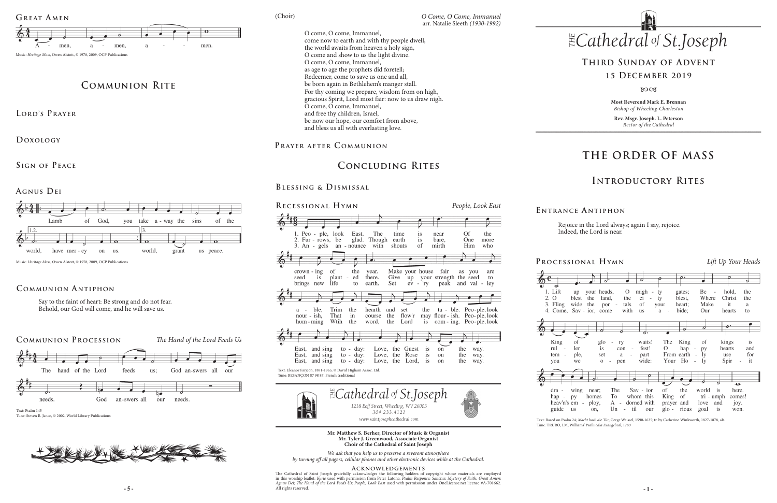# **THE ORDER OF MASS**

# **Introductory Rites**

# **Third Sunday of Advent**

### **15 December 2019**

### $80C<sub>3</sub>$

### **Processional Hymn** *Lift Up Your Heads*







heav'n's guide



Rejoice in the Lord always; again I say, rejoice. Indeed, the Lord is near.

| ď                                                                                                  |                                                                                     | ガ                                                           | $\overline{o}$ .                                                |                                                                       | っ                                                          |                        |
|----------------------------------------------------------------------------------------------------|-------------------------------------------------------------------------------------|-------------------------------------------------------------|-----------------------------------------------------------------|-----------------------------------------------------------------------|------------------------------------------------------------|------------------------|
| your heads,<br>up<br>blest<br>the<br>land,<br>wide<br>the<br>$Sav - ior$ , come                    | $\Omega$<br>the<br>tals<br>por -<br>with                                            | migh<br>ty<br>÷<br>ci<br>ty<br>of<br>your<br>a<br><b>us</b> | gates;<br>blest,<br>heart;<br>bide;<br>$\sim$                   | Be<br>$\overline{\phantom{a}}$<br>Where<br>Make<br>Our                | hold,<br>Christ<br>it<br>hearts                            | the<br>the<br>a<br>to  |
|                                                                                                    |                                                                                     |                                                             |                                                                 | 7                                                                     | $\overline{\rho^{\ast}}$                                   |                        |
| οf<br>$g$ lo<br>ler<br>is<br>ple,<br>set<br>we<br>$\mathcal O$                                     | ry<br>con<br>$\overline{\phantom{a}}$<br>a<br>$\overline{\phantom{a}}$<br>pen<br>÷, | waits!<br>fest!<br>part<br>wide:                            | The<br>King of<br>$\Omega$<br>hap<br>From earth<br>Your Ho      | $\sim$<br>py<br>- 1y<br>$\sim$ $-$<br>-ly<br>$\overline{\phantom{a}}$ | kings<br>hearts<br>use<br>Spir<br>$\overline{\phantom{0}}$ | is<br>and<br>for<br>it |
| $\sigma^-$<br>wing<br>near;<br>homes<br>pу<br>ploy,<br>em<br>$\overline{\phantom{a}}$<br>on,<br>us | <b>The</b><br>To<br>$A -$<br>til<br>Un<br>$\overline{a}$                            | $Sav - ior$<br>whom this<br>dorned with<br>our              | οf<br>the<br>King<br>of a<br>prayer<br>and<br>$g$ lo -<br>rious | world<br>is<br>tri - umph<br>love<br>and<br>is<br>goal                | $\bullet$<br>here.<br>comes!<br>joy.<br>won.               |                        |

### **E ntrance A ntiphon**

**Most Reverend Mark E. Brennan** *Bishop of Wheeling-Charleston*

**Rev. Msgr. Joseph. L. Peterson** *Rector of the Cathedral*

*www.saintjosephcathedral.com www.saintjosephcathedral.com*

**- 5 - - 1 -** The Cathedral of Saint Joseph gratefully acknowledges the following holders of copyright whose materials are employed<br>in this worship leaflet: *Kyrie* used with permission from Peter Latona. *Psalm Response; Sanctus; Myste* All rights reserved.

### **Mr. Matthew S. Berher, Director of Music & Organist Mr. Tyler J. Greenwood, Associate Organist Choir of the Cathedral of Saint Joseph**

*We ask that you help us to preserve a reverent atmosphere by turning off all pagers, cellular phones and other electronic devices while at the Cathedral.*



### **Acknowledgements**

# **Concluding Rites**

# **Blessing & Dismissal**

*O Come, O Come, Immanuel*<br>arr. Natalie Sleeth *(1930-1992) O Come, O Come, Immanuel*<br>2011 - Joseph (1930-1992) O come, O come, Immanuel, come now to earth and with thy people dwell, the world awaits from heaven a holy sign, O come and show to us the light divine. O come, O come, Immanuel, as age to age the prophets did foretell; Redeemer, come to save us one and all, be born again in Bethlehem's manger stall. For thy coming we prepare, wisdom from on high, gracious Spirit, Lord most fair: now to us draw nigh. O come, O come, Immanuel, and free thy children, Israel, be now our hope, our comfort from above, and bless us all with everlasting love.

## PRAYER AFTER COMMUNION

Text: Based on Psalm 24; *Macht hoch die Tür*; Gerge Weissel, 1590-1635; tr. by Catherine Winkworth, 1827-1878, alt. Tune: TRURO, LM, Williams' *Psalmodia Evangelical*, 1789



## **Communion Antiphon**

# **Communion Rite**

**Lord's Prayer**

**Doxology** 

**Sign of Peace** 

**Agnus Dei** 



Music: *Heritage Mass*, Owen Alstott, © 1978, 2009, OCP Publications

Say to the faint of heart: Be strong and do not fear. Behold, our God will come, and he will save us.

Text: Psalm 145 Tune: Steven R. Janco, © 2002, World Library Publications





(Choir)